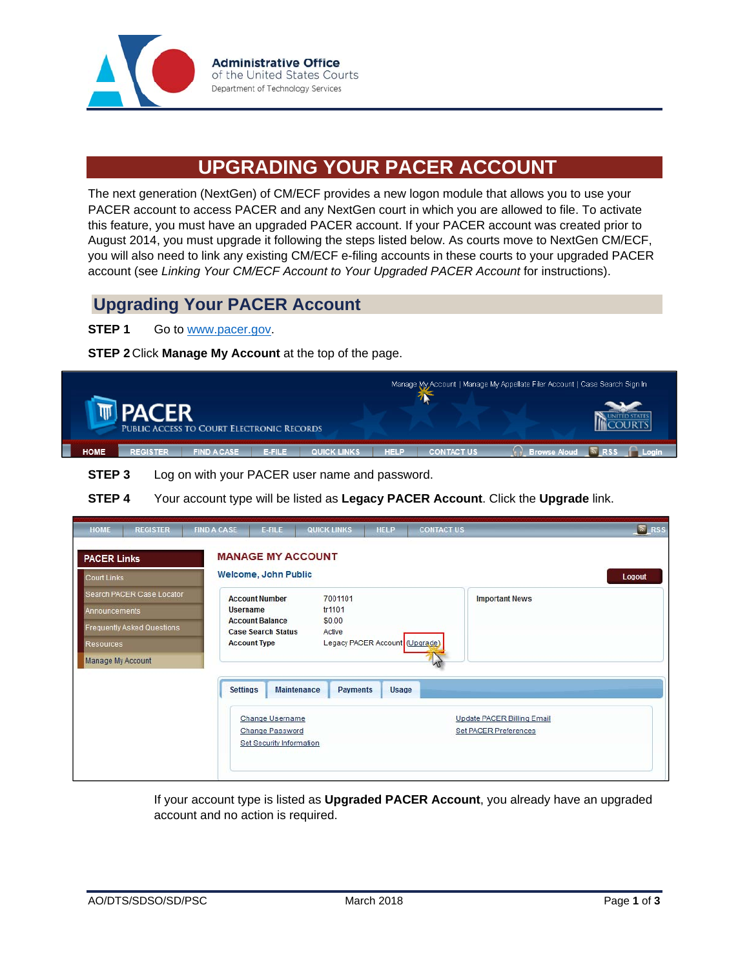

## **UPGRADING YOUR PACER ACCOUNT**

The next generation (NextGen) of CM/ECF provides a new logon module that allows you to use your PACER account to access PACER and any NextGen court in which you are allowed to file. To activate this feature, you must have an upgraded PACER account. If your PACER account was created prior to August 2014, you must upgrade it following the steps listed below. As courts move to NextGen CM/ECF, you will also need to link any existing CM/ECF e-filing accounts in these courts to your upgraded PACER account (see *Linking Your CM/ECF Account to Your Upgraded PACER Account* for instructions).

## **Upgrading Your PACER Account**

## **STEP 1** Go to www.pacer.gov.

**STEP 2** Click **Manage My Account** at the top of the page.



**STEP 3** Log on with your PACER user name and password.

**STEP 4** Your account type will be listed as **Legacy PACER Account**. Click the **Upgrade** link.

| <b>HOME</b>          | <b>REGISTER</b>            | <b>FIND A CASE</b>  | E-FILE                                              | <b>QUICK LINKS</b>             | <b>HELP</b>                    | <b>CONTACT US</b> |                                                     | $N$ RSS |
|----------------------|----------------------------|---------------------|-----------------------------------------------------|--------------------------------|--------------------------------|-------------------|-----------------------------------------------------|---------|
| <b>PACER Links</b>   |                            |                     | <b>MANAGE MY ACCOUNT</b>                            |                                |                                |                   |                                                     |         |
| <b>Court Links</b>   |                            |                     | Welcome, John Public                                |                                |                                |                   |                                                     | Logout  |
|                      | Search PACER Case Locator  |                     | <b>Account Number</b>                               | 7001101                        |                                |                   | <b>Important News</b>                               |         |
| <b>Announcements</b> |                            | <b>Username</b>     |                                                     | tr1101                         |                                |                   |                                                     |         |
|                      | Frequently Asked Questions |                     | <b>Account Balance</b><br><b>Case Search Status</b> | \$0.00<br>Active               |                                |                   |                                                     |         |
| Resources            |                            | <b>Account Type</b> |                                                     |                                | Legacy PACER Account (Upgrade) |                   |                                                     |         |
| Manage My Account    |                            |                     |                                                     |                                |                                |                   |                                                     |         |
|                      |                            | <b>Settings</b>     | Change Username<br>Change Password                  | <b>Maintenance</b><br>Payments | <b>Usage</b>                   |                   | Update PACER Billing Email<br>Set PACER Preferences |         |
|                      |                            |                     | <b>Set Security Information</b>                     |                                |                                |                   |                                                     |         |

 If your account type is listed as **Upgraded PACER Account**, you already have an upgraded account and no action is required.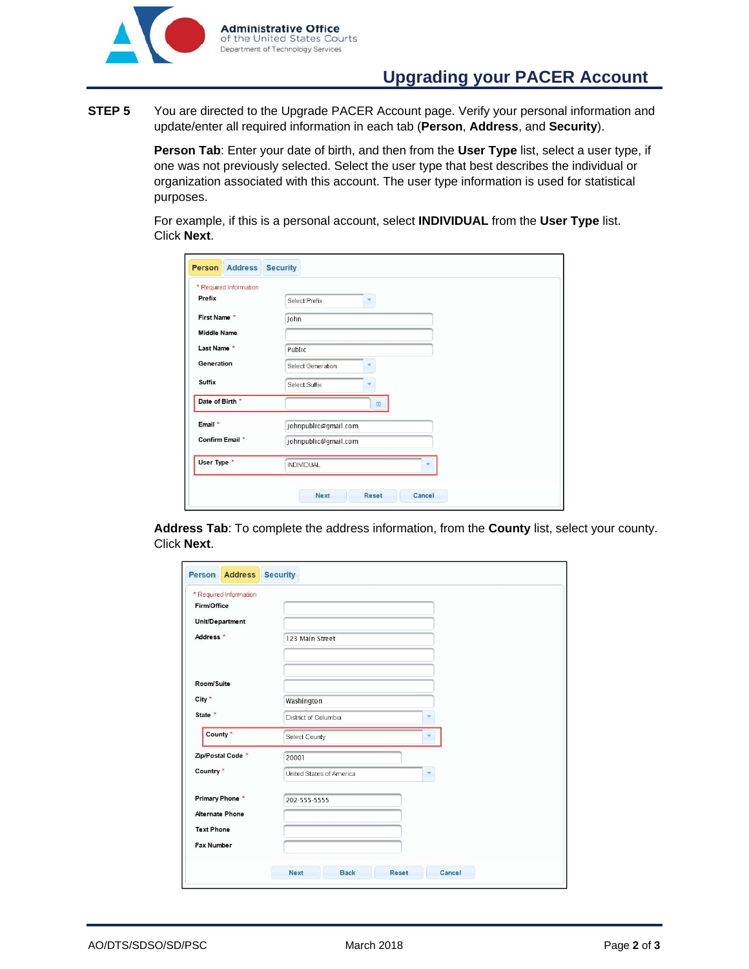

**STEP 5** You are directed to the Upgrade PACER Account page. Verify your personal information and update/enter all required information in each tab (**Person**, **Address**, and **Security**).

> **Person Tab**: Enter your date of birth, and then from the **User Type** list, select a user type, if one was not previously selected. Select the user type that best describes the individual or organization associated with this account. The user type information is used for statistical purposes.

For example, if this is a personal account, select **INDIVIDUAL** from the **User Type** list. Click **Next**.

| * Required Information |                      |  |
|------------------------|----------------------|--|
| Prefix                 | Select Prefix<br>٠   |  |
| First Name *           | John                 |  |
| <b>Middle Name</b>     |                      |  |
| Last Name *            | Public               |  |
| Generation             | Select Generation    |  |
| Suffix                 | Select Suffix        |  |
| Date of Birth *        | 茴                    |  |
| Email *                | johnpublic@gmail.com |  |
| Confirm Email *        | johnpublic@gmail.com |  |
| User Type *            | <b>INDIVIDUAL</b>    |  |

 **Address Tab**: To complete the address information, from the **County** list, select your county. Click **Next**.

| * Required Information |                               |
|------------------------|-------------------------------|
| Firm/Office            |                               |
| Unit/Department        |                               |
| Address <sup>*</sup>   | 123 Main Street               |
|                        |                               |
| Room/Suite             |                               |
| City *                 | Washington                    |
| State *                | District of Columbia          |
| County *               | Select County                 |
| Zip/Postal Code *      | 20001                         |
| Country *              | United States of America<br>۳ |
| Primary Phone *        | 202-555-5555                  |
| <b>Alternate Phone</b> |                               |
| <b>Text Phone</b>      |                               |
| <b>Fax Number</b>      |                               |